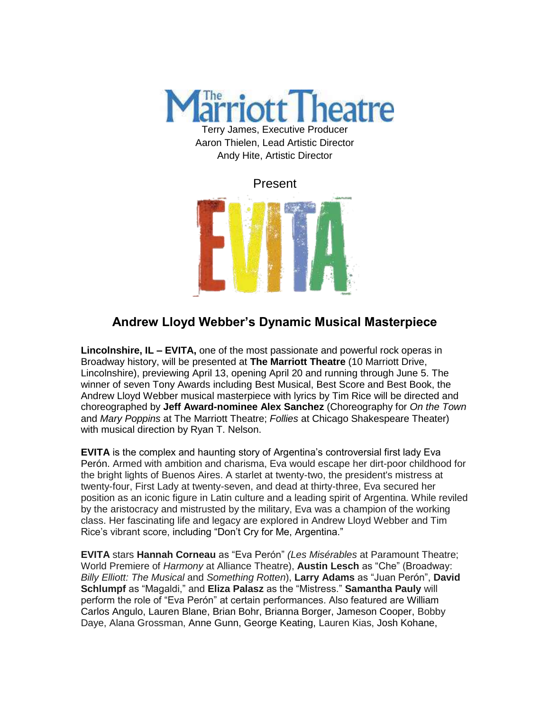

Aaron Thielen, Lead Artistic Director Andy Hite, Artistic Director



## **Andrew Lloyd Webber's Dynamic Musical Masterpiece**

**Lincolnshire, IL – EVITA,** one of the most passionate and powerful rock operas in Broadway history, will be presented at **The Marriott Theatre** (10 Marriott Drive, Lincolnshire), previewing April 13, opening April 20 and running through June 5. The winner of seven Tony Awards including Best Musical, Best Score and Best Book, the Andrew Lloyd Webber musical masterpiece with lyrics by Tim Rice will be directed and choreographed by **Jeff Award-nominee Alex Sanchez** (Choreography for *On the Town* and *Mary Poppins* at The Marriott Theatre; *Follies* at Chicago Shakespeare Theater) with musical direction by Ryan T. Nelson.

**EVITA** is the complex and haunting story of Argentina's controversial first lady Eva Perón. Armed with ambition and charisma, Eva would escape her dirt-poor childhood for the bright lights of Buenos Aires. A starlet at twenty-two, the president's mistress at twenty-four, First Lady at twenty-seven, and dead at thirty-three, Eva secured her position as an iconic figure in Latin culture and a leading spirit of Argentina. While reviled by the aristocracy and mistrusted by the military, Eva was a champion of the working class. Her fascinating life and legacy are explored in Andrew Lloyd Webber and Tim Rice's vibrant score, including "Don't Cry for Me, Argentina."

**EVITA** stars **Hannah Corneau** as "Eva Perón" *(Les Misérables* at Paramount Theatre; World Premiere of *Harmony* at Alliance Theatre), **Austin Lesch** as "Che" (Broadway: *Billy Elliott: The Musical* and *Something Rotten*), **Larry Adams** as "Juan Perón", **David Schlumpf** as "Magaldi," and **Eliza Palasz** as the "Mistress." **Samantha Pauly** will perform the role of "Eva Perón" at certain performances. Also featured are William Carlos Angulo, Lauren Blane, Brian Bohr, Brianna Borger, Jameson Cooper, Bobby Daye, Alana Grossman, Anne Gunn, George Keating, Lauren Kias, Josh Kohane,